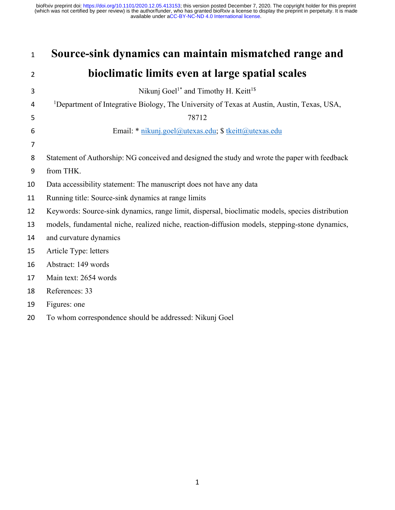| $\mathbf{1}$   | Source-sink dynamics can maintain mismatched range and                                                 |
|----------------|--------------------------------------------------------------------------------------------------------|
| $\overline{2}$ | bioclimatic limits even at large spatial scales                                                        |
| 3              | Nikunj Goel <sup>1*</sup> and Timothy H. Keitt <sup>1\$</sup>                                          |
| 4              | <sup>1</sup> Department of Integrative Biology, The University of Texas at Austin, Austin, Texas, USA, |
| 5              | 78712                                                                                                  |
| 6              | Email: * nikunj.goel@utexas.edu; \$ tkeitt@utexas.edu                                                  |
| 7              |                                                                                                        |
| 8              | Statement of Authorship: NG conceived and designed the study and wrote the paper with feedback         |
| 9              | from THK.                                                                                              |
| 10             | Data accessibility statement: The manuscript does not have any data                                    |
| 11             | Running title: Source-sink dynamics at range limits                                                    |
| 12             | Keywords: Source-sink dynamics, range limit, dispersal, bioclimatic models, species distribution       |
| 13             | models, fundamental niche, realized niche, reaction-diffusion models, stepping-stone dynamics,         |
| 14             | and curvature dynamics                                                                                 |
| 15             | Article Type: letters                                                                                  |
| 16             | Abstract: 149 words                                                                                    |
| 17             | Main text: 2654 words                                                                                  |
| 18             | References: 33                                                                                         |
| 19             | Figures: one                                                                                           |
| 20             | To whom correspondence should be addressed: Nikunj Goel                                                |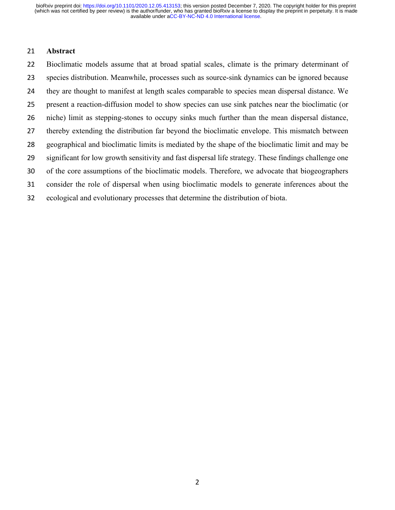## **Abstract**

 Bioclimatic models assume that at broad spatial scales, climate is the primary determinant of species distribution. Meanwhile, processes such as source-sink dynamics can be ignored because they are thought to manifest at length scales comparable to species mean dispersal distance. We present a reaction-diffusion model to show species can use sink patches near the bioclimatic (or niche) limit as stepping-stones to occupy sinks much further than the mean dispersal distance, thereby extending the distribution far beyond the bioclimatic envelope. This mismatch between geographical and bioclimatic limits is mediated by the shape of the bioclimatic limit and may be significant for low growth sensitivity and fast dispersal life strategy. These findings challenge one of the core assumptions of the bioclimatic models. Therefore, we advocate that biogeographers consider the role of dispersal when using bioclimatic models to generate inferences about the ecological and evolutionary processes that determine the distribution of biota.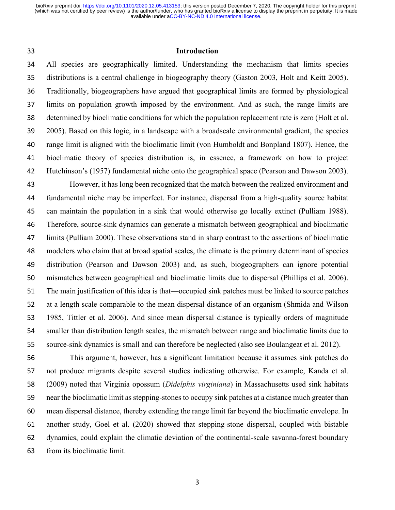# **Introduction**

 All species are geographically limited. Understanding the mechanism that limits species distributions is a central challenge in biogeography theory (Gaston 2003, Holt and Keitt 2005). Traditionally, biogeographers have argued that geographical limits are formed by physiological limits on population growth imposed by the environment. And as such, the range limits are determined by bioclimatic conditions for which the population replacement rate is zero (Holt et al. 2005). Based on this logic, in a landscape with a broadscale environmental gradient, the species range limit is aligned with the bioclimatic limit (von Humboldt and Bonpland 1807). Hence, the bioclimatic theory of species distribution is, in essence, a framework on how to project Hutchinson's (1957) fundamental niche onto the geographical space (Pearson and Dawson 2003).

 However, it has long been recognized that the match between the realized environment and fundamental niche may be imperfect. For instance, dispersal from a high-quality source habitat can maintain the population in a sink that would otherwise go locally extinct (Pulliam 1988). Therefore, source-sink dynamics can generate a mismatch between geographical and bioclimatic limits (Pulliam 2000). These observations stand in sharp contrast to the assertions of bioclimatic modelers who claim that at broad spatial scales, the climate is the primary determinant of species distribution (Pearson and Dawson 2003) and, as such, biogeographers can ignore potential mismatches between geographical and bioclimatic limits due to dispersal (Phillips et al. 2006). The main justification of this idea is that—occupied sink patches must be linked to source patches at a length scale comparable to the mean dispersal distance of an organism (Shmida and Wilson 1985, Tittler et al. 2006). And since mean dispersal distance is typically orders of magnitude smaller than distribution length scales, the mismatch between range and bioclimatic limits due to source-sink dynamics is small and can therefore be neglected (also see Boulangeat et al. 2012).

 This argument, however, has a significant limitation because it assumes sink patches do not produce migrants despite several studies indicating otherwise. For example, Kanda et al. (2009) noted that Virginia opossum (*Didelphis virginiana*) in Massachusetts used sink habitats near the bioclimatic limit as stepping-stones to occupy sink patches at a distance much greater than mean dispersal distance, thereby extending the range limit far beyond the bioclimatic envelope. In another study, Goel et al. (2020) showed that stepping-stone dispersal, coupled with bistable dynamics, could explain the climatic deviation of the continental-scale savanna-forest boundary from its bioclimatic limit.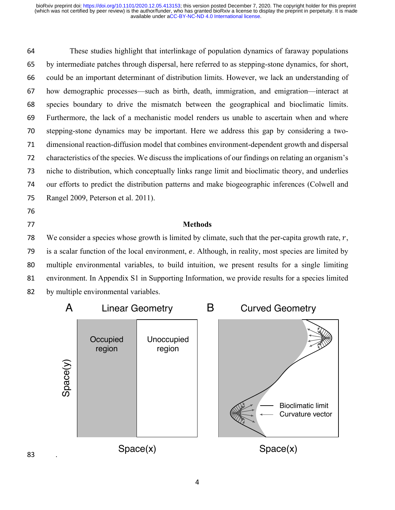These studies highlight that interlinkage of population dynamics of faraway populations by intermediate patches through dispersal, here referred to as stepping-stone dynamics, for short, could be an important determinant of distribution limits. However, we lack an understanding of how demographic processes—such as birth, death, immigration, and emigration—interact at species boundary to drive the mismatch between the geographical and bioclimatic limits. Furthermore, the lack of a mechanistic model renders us unable to ascertain when and where stepping-stone dynamics may be important. Here we address this gap by considering a two- dimensional reaction-diffusion model that combines environment-dependent growth and dispersal characteristics of the species. We discuss the implications of our findings on relating an organism's niche to distribution, which conceptually links range limit and bioclimatic theory, and underlies our efforts to predict the distribution patterns and make biogeographic inferences (Colwell and Rangel 2009, Peterson et al. 2011).

- 76
- 

## 77 **Methods**

78 We consider a species whose growth is limited by climate, such that the per-capita growth rate,  $r$ , 79 is a scalar function of the local environment, e. Although, in reality, most species are limited by 80 multiple environmental variables, to build intuition, we present results for a single limiting 81 environment. In Appendix S1 in Supporting Information, we provide results for a species limited 82 by multiple environmental variables.

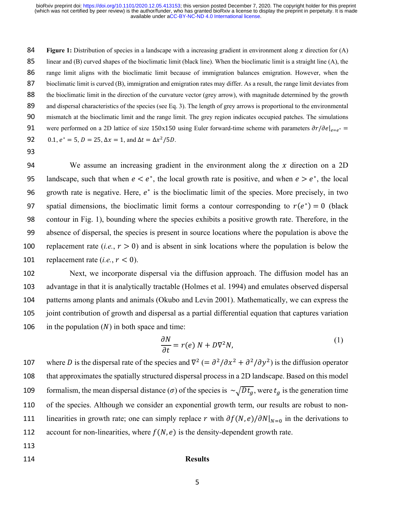**Figure 1:** Distribution of species in a landscape with a increasing gradient in environment along x direction for  $(A)$  linear and (B) curved shapes of the bioclimatic limit (black line). When the bioclimatic limit is a straight line (A), the range limit aligns with the bioclimatic limit because of immigration balances emigration. However, when the bioclimatic limit is curved (B), immigration and emigration rates may differ. As a result, the range limit deviates from the bioclimatic limit in the direction of the curvature vector (grey arrow), with magnitude determined by the growth 89 and dispersal characteristics of the species (see Eq. 3). The length of grey arrows is proportional to the environmental mismatch at the bioclimatic limit and the range limit. The grey region indicates occupied patches. The simulations 91 were performed on a 2D lattice of size 150x150 using Euler forward-time scheme with parameters  $\partial r/\partial e|_{e^{-\rho^*}} =$ 92 0.1,  $e^* = 5$ ,  $D = 25$ ,  $\Delta x = 1$ , and  $\Delta t = \Delta x^2 / 5D$ .

93

94 We assume an increasing gradient in the environment along the  $x$  direction on a 2D 95 landscape, such that when  $e < e^*$ , the local growth rate is positive, and when  $e > e^*$ , the local 96 growth rate is negative. Here,  $e^*$  is the bioclimatic limit of the species. More precisely, in two 97 spatial dimensions, the bioclimatic limit forms a contour corresponding to  $r(e^*) = 0$  (black 98 contour in Fig. 1), bounding where the species exhibits a positive growth rate. Therefore, in the 99 absence of dispersal, the species is present in source locations where the population is above the 100 replacement rate  $(i.e., r > 0)$  and is absent in sink locations where the population is below the 101 replacement rate  $(i.e., r < 0)$ .

 Next, we incorporate dispersal via the diffusion approach. The diffusion model has an advantage in that it is analytically tractable (Holmes et al. 1994) and emulates observed dispersal patterns among plants and animals (Okubo and Levin 2001). Mathematically, we can express the joint contribution of growth and dispersal as a partial differential equation that captures variation 106 in the population  $(N)$  in both space and time:

$$
\frac{\partial N}{\partial t} = r(e) N + D\nabla^2 N,\tag{1}
$$

107 where *D* is the dispersal rate of the species and  $\nabla^2$  (=  $\frac{\partial^2}{\partial x^2} + \frac{\partial^2}{\partial y^2}$ ) is the diffusion operator 108 that approximates the spatially structured dispersal process in a 2D landscape. Based on this model 109 formalism, the mean dispersal distance ( $\sigma$ ) of the species is  $\sim \sqrt{Dt_q}$ , were  $t_q$  is the generation time 110 of the species. Although we consider an exponential growth term, our results are robust to non-111 linearities in growth rate; one can simply replace r with  $\partial f(N, e)/\partial N|_{N=0}$  in the derivations to 112 account for non-linearities, where  $f(N, e)$  is the density-dependent growth rate.

- 113
- 

### 114 **Results**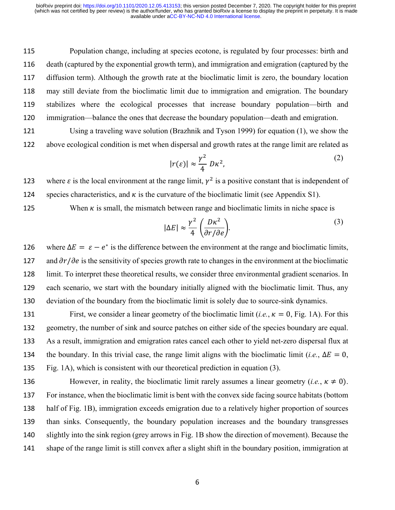Population change, including at species ecotone, is regulated by four processes: birth and death (captured by the exponential growth term), and immigration and emigration (captured by the diffusion term). Although the growth rate at the bioclimatic limit is zero, the boundary location may still deviate from the bioclimatic limit due to immigration and emigration. The boundary stabilizes where the ecological processes that increase boundary population—birth and immigration—balance the ones that decrease the boundary population—death and emigration.

 Using a traveling wave solution (Brazhnik and Tyson 1999) for equation (1), we show the above ecological condition is met when dispersal and growth rates at the range limit are related as

$$
|r(\varepsilon)| \approx \frac{\gamma^2}{4} D\kappa^2,\tag{2}
$$

123 where  $\varepsilon$  is the local environment at the range limit,  $\gamma^2$  is a positive constant that is independent of 124 species characteristics, and  $\kappa$  is the curvature of the bioclimatic limit (see Appendix S1).

125 When  $\kappa$  is small, the mismatch between range and bioclimatic limits in niche space is

$$
|\Delta E| \approx \frac{\gamma^2}{4} \left( \frac{D\kappa^2}{\partial r/\partial e} \right).
$$
 (3)

126 where  $\Delta E = \varepsilon - e^*$  is the difference between the environment at the range and bioclimatic limits, 127 and  $\partial r / \partial e$  is the sensitivity of species growth rate to changes in the environment at the bioclimatic limit. To interpret these theoretical results, we consider three environmental gradient scenarios. In each scenario, we start with the boundary initially aligned with the bioclimatic limit. Thus, any deviation of the boundary from the bioclimatic limit is solely due to source-sink dynamics.

131 First, we consider a linear geometry of the bioclimatic limit  $(i.e.,  $\kappa = 0$ , Fig. 1A)$ . For this geometry, the number of sink and source patches on either side of the species boundary are equal. As a result, immigration and emigration rates cancel each other to yield net-zero dispersal flux at 134 the boundary. In this trivial case, the range limit aligns with the bioclimatic limit (*i.e.*,  $\Delta E = 0$ , Fig. 1A), which is consistent with our theoretical prediction in equation (3).

136 However, in reality, the bioclimatic limit rarely assumes a linear geometry  $(i.e., \kappa \neq 0)$ . For instance, when the bioclimatic limit is bent with the convex side facing source habitats (bottom half of Fig. 1B), immigration exceeds emigration due to a relatively higher proportion of sources than sinks. Consequently, the boundary population increases and the boundary transgresses slightly into the sink region (grey arrows in Fig. 1B show the direction of movement). Because the shape of the range limit is still convex after a slight shift in the boundary position, immigration at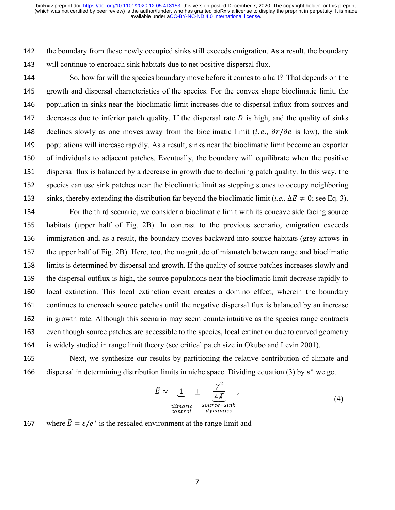142 the boundary from these newly occupied sinks still exceeds emigration. As a result, the boundary 143 will continue to encroach sink habitats due to net positive dispersal flux.

 So, how far will the species boundary move before it comes to a halt? That depends on the growth and dispersal characteristics of the species. For the convex shape bioclimatic limit, the population in sinks near the bioclimatic limit increases due to dispersal influx from sources and 147 decreases due to inferior patch quality. If the dispersal rate  $D$  is high, and the quality of sinks 148 declines slowly as one moves away from the bioclimatic limit (*i.e.*,  $\partial r / \partial e$  is low), the sink populations will increase rapidly. As a result, sinks near the bioclimatic limit become an exporter of individuals to adjacent patches. Eventually, the boundary will equilibrate when the positive dispersal flux is balanced by a decrease in growth due to declining patch quality. In this way, the species can use sink patches near the bioclimatic limit as stepping stones to occupy neighboring 153 sinks, thereby extending the distribution far beyond the bioclimatic limit (*i.e.*,  $\Delta E \neq 0$ ; see Eq. 3).

 For the third scenario, we consider a bioclimatic limit with its concave side facing source habitats (upper half of Fig. 2B). In contrast to the previous scenario, emigration exceeds immigration and, as a result, the boundary moves backward into source habitats (grey arrows in the upper half of Fig. 2B). Here, too, the magnitude of mismatch between range and bioclimatic limits is determined by dispersal and growth. If the quality of source patches increases slowly and the dispersal outflux is high, the source populations near the bioclimatic limit decrease rapidly to local extinction. This local extinction event creates a domino effect, wherein the boundary continues to encroach source patches until the negative dispersal flux is balanced by an increase in growth rate. Although this scenario may seem counterintuitive as the species range contracts even though source patches are accessible to the species, local extinction due to curved geometry is widely studied in range limit theory (see critical patch size in Okubo and Levin 2001).

165 Next, we synthesize our results by partitioning the relative contribution of climate and 166 dispersal in determining distribution limits in niche space. Dividing equation (3) by  $e^*$  we get

$$
\tilde{E} \approx \underbrace{1}_{\text{climate}} \pm \underbrace{\frac{\gamma^2}{4\tilde{A}}}_{\text{source-sink}},
$$
\n(4)

167 where  $\tilde{E} = \varepsilon/e^*$  is the rescaled environment at the range limit and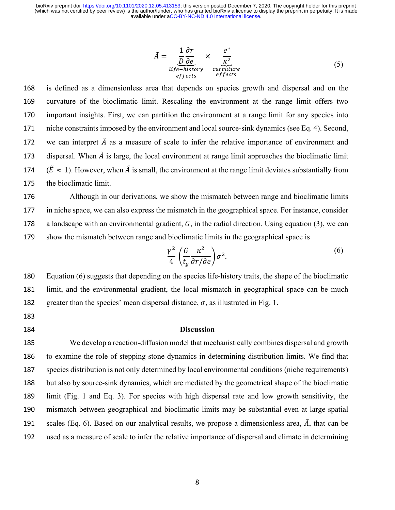$$
\tilde{A} = \frac{1}{\frac{D}{\theta e}} \frac{\partial r}{\partial e} \times \frac{e^*}{\frac{\kappa^2}{\theta e^2}} \tag{5}
$$
\n
$$
\text{div} e = \text{history} \quad \text{curvature} \quad \text{(5)}
$$

 is defined as a dimensionless area that depends on species growth and dispersal and on the curvature of the bioclimatic limit. Rescaling the environment at the range limit offers two important insights. First, we can partition the environment at a range limit for any species into niche constraints imposed by the environment and local source-sink dynamics (see Eq. 4). Second, 172 we can interpret  $\tilde{A}$  as a measure of scale to infer the relative importance of environment and 173 dispersal. When  $\tilde{A}$  is large, the local environment at range limit approaches the bioclimatic limit  $(\tilde{E} \approx 1)$ . However, when  $\tilde{A}$  is small, the environment at the range limit deviates substantially from the bioclimatic limit.

 Although in our derivations, we show the mismatch between range and bioclimatic limits in niche space, we can also express the mismatch in the geographical space. For instance, consider 178 a landscape with an environmental gradient,  $G$ , in the radial direction. Using equation (3), we can show the mismatch between range and bioclimatic limits in the geographical space is

$$
\frac{\gamma^2}{4} \left( \frac{G}{t_g} \frac{\kappa^2}{\partial r / \partial e} \right) \sigma^2.
$$
\n(6)

180 Equation (6) suggests that depending on the species life-history traits, the shape of the bioclimatic 181 limit, and the environmental gradient, the local mismatch in geographical space can be much 182 greater than the species' mean dispersal distance,  $\sigma$ , as illustrated in Fig. 1.

183

# 184 **Discussion**

 We develop a reaction-diffusion model that mechanistically combines dispersal and growth to examine the role of stepping-stone dynamics in determining distribution limits. We find that species distribution is not only determined by local environmental conditions (niche requirements) but also by source-sink dynamics, which are mediated by the geometrical shape of the bioclimatic limit (Fig. 1 and Eq. 3). For species with high dispersal rate and low growth sensitivity, the mismatch between geographical and bioclimatic limits may be substantial even at large spatial 191 scales (Eq. 6). Based on our analytical results, we propose a dimensionless area,  $\tilde{A}$ , that can be used as a measure of scale to infer the relative importance of dispersal and climate in determining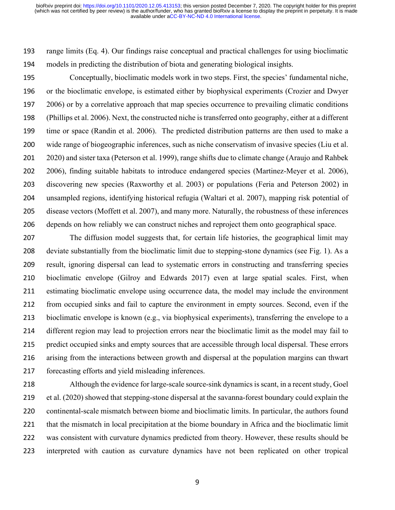range limits (Eq. 4). Our findings raise conceptual and practical challenges for using bioclimatic models in predicting the distribution of biota and generating biological insights.

 Conceptually, bioclimatic models work in two steps. First, the species' fundamental niche, or the bioclimatic envelope, is estimated either by biophysical experiments (Crozier and Dwyer 2006) or by a correlative approach that map species occurrence to prevailing climatic conditions (Phillips et al. 2006). Next, the constructed niche is transferred onto geography, either at a different time or space (Randin et al. 2006). The predicted distribution patterns are then used to make a wide range of biogeographic inferences, such as niche conservatism of invasive species (Liu et al. 2020) and sister taxa (Peterson et al. 1999), range shifts due to climate change (Araujo and Rahbek 2006), finding suitable habitats to introduce endangered species (Martinez-Meyer et al. 2006), discovering new species (Raxworthy et al. 2003) or populations (Feria and Peterson 2002) in unsampled regions, identifying historical refugia (Waltari et al. 2007), mapping risk potential of disease vectors (Moffett et al. 2007), and many more. Naturally, the robustness of these inferences depends on how reliably we can construct niches and reproject them onto geographical space.

 The diffusion model suggests that, for certain life histories, the geographical limit may deviate substantially from the bioclimatic limit due to stepping-stone dynamics (see Fig. 1). As a result, ignoring dispersal can lead to systematic errors in constructing and transferring species bioclimatic envelope (Gilroy and Edwards 2017) even at large spatial scales. First, when estimating bioclimatic envelope using occurrence data, the model may include the environment from occupied sinks and fail to capture the environment in empty sources. Second, even if the bioclimatic envelope is known (e.g., via biophysical experiments), transferring the envelope to a different region may lead to projection errors near the bioclimatic limit as the model may fail to predict occupied sinks and empty sources that are accessible through local dispersal. These errors arising from the interactions between growth and dispersal at the population margins can thwart forecasting efforts and yield misleading inferences.

 Although the evidence for large-scale source-sink dynamics is scant, in a recent study, Goel et al. (2020) showed that stepping-stone dispersal at the savanna-forest boundary could explain the continental-scale mismatch between biome and bioclimatic limits. In particular, the authors found that the mismatch in local precipitation at the biome boundary in Africa and the bioclimatic limit was consistent with curvature dynamics predicted from theory. However, these results should be interpreted with caution as curvature dynamics have not been replicated on other tropical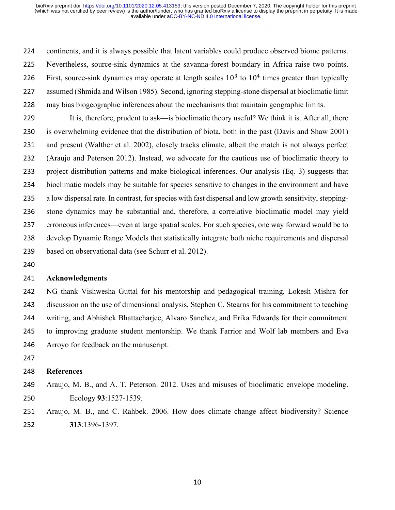continents, and it is always possible that latent variables could produce observed biome patterns. Nevertheless, source-sink dynamics at the savanna-forest boundary in Africa raise two points. 226 First, source-sink dynamics may operate at length scales  $10<sup>3</sup>$  to  $10<sup>4</sup>$  times greater than typically assumed (Shmida and Wilson 1985). Second, ignoring stepping-stone dispersal at bioclimatic limit may bias biogeographic inferences about the mechanisms that maintain geographic limits.

 It is, therefore, prudent to ask—is bioclimatic theory useful? We think it is. After all, there is overwhelming evidence that the distribution of biota, both in the past (Davis and Shaw 2001) and present (Walther et al. 2002), closely tracks climate, albeit the match is not always perfect (Araujo and Peterson 2012). Instead, we advocate for the cautious use of bioclimatic theory to project distribution patterns and make biological inferences. Our analysis (Eq. 3) suggests that bioclimatic models may be suitable for species sensitive to changes in the environment and have a low dispersal rate. In contrast, for species with fast dispersal and low growth sensitivity, stepping- stone dynamics may be substantial and, therefore, a correlative bioclimatic model may yield erroneous inferences—even at large spatial scales. For such species, one way forward would be to develop Dynamic Range Models that statistically integrate both niche requirements and dispersal based on observational data (see Schurr et al. 2012).

## **Acknowledgments**

 NG thank Vishwesha Guttal for his mentorship and pedagogical training, Lokesh Mishra for discussion on the use of dimensional analysis, Stephen C. Stearns for his commitment to teaching writing, and Abhishek Bhattacharjee, Alvaro Sanchez, and Erika Edwards for their commitment to improving graduate student mentorship. We thank Farrior and Wolf lab members and Eva Arroyo for feedback on the manuscript.

## **References**

- Araujo, M. B., and A. T. Peterson. 2012. Uses and misuses of bioclimatic envelope modeling. Ecology **93**:1527-1539.
- Araujo, M. B., and C. Rahbek. 2006. How does climate change affect biodiversity? Science **313**:1396-1397.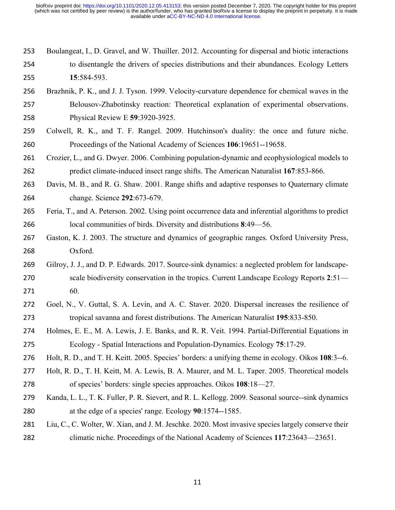- Boulangeat, I., D. Gravel, and W. Thuiller. 2012. Accounting for dispersal and biotic interactions to disentangle the drivers of species distributions and their abundances. Ecology Letters **15**:584-593.
- Brazhnik, P. K., and J. J. Tyson. 1999. Velocity-curvature dependence for chemical waves in the Belousov-Zhabotinsky reaction: Theoretical explanation of experimental observations. Physical Review E **59**:3920-3925.
- Colwell, R. K., and T. F. Rangel. 2009. Hutchinson's duality: the once and future niche. Proceedings of the National Academy of Sciences **106**:19651--19658.
- Crozier, L., and G. Dwyer. 2006. Combining population-dynamic and ecophysiological models to predict climate-induced insect range shifts. The American Naturalist **167**:853-866.
- Davis, M. B., and R. G. Shaw. 2001. Range shifts and adaptive responses to Quaternary climate change. Science **292**:673-679.
- Feria, T., and A. Peterson. 2002. Using point occurrence data and inferential algorithms to predict local communities of birds. Diversity and distributions **8**:49—56.
- Gaston, K. J. 2003. The structure and dynamics of geographic ranges. Oxford University Press, Oxford.
- Gilroy, J. J., and D. P. Edwards. 2017. Source-sink dynamics: a neglected problem for landscape- scale biodiversity conservation in the tropics. Current Landscape Ecology Reports **2**:51— 60.
- Goel, N., V. Guttal, S. A. Levin, and A. C. Staver. 2020. Dispersal increases the resilience of tropical savanna and forest distributions. The American Naturalist **195**:833-850.
- Holmes, E. E., M. A. Lewis, J. E. Banks, and R. R. Veit. 1994. Partial-Differential Equations in Ecology - Spatial Interactions and Population-Dynamics. Ecology **75**:17-29.
- Holt, R. D., and T. H. Keitt. 2005. Species' borders: a unifying theme in ecology. Oikos **108**:3--6.
- Holt, R. D., T. H. Keitt, M. A. Lewis, B. A. Maurer, and M. L. Taper. 2005. Theoretical models of species' borders: single species approaches. Oikos **108**:18—27.
- Kanda, L. L., T. K. Fuller, P. R. Sievert, and R. L. Kellogg. 2009. Seasonal source--sink dynamics at the edge of a species' range. Ecology **90**:1574--1585.
- Liu, C., C. Wolter, W. Xian, and J. M. Jeschke. 2020. Most invasive species largely conserve their climatic niche. Proceedings of the National Academy of Sciences **117**:23643—23651.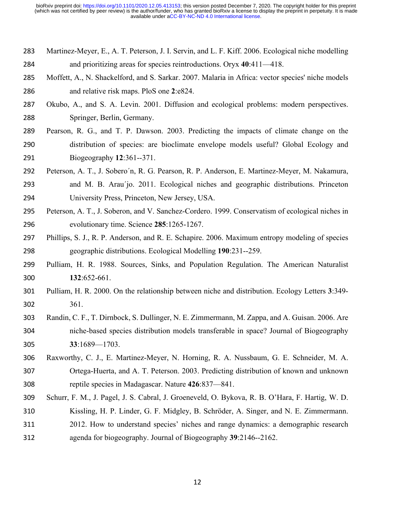- Martinez-Meyer, E., A. T. Peterson, J. I. Servin, and L. F. Kiff. 2006. Ecological niche modelling and prioritizing areas for species reintroductions. Oryx **40**:411—418.
- Moffett, A., N. Shackelford, and S. Sarkar. 2007. Malaria in Africa: vector species' niche models and relative risk maps. PloS one **2**:e824.
- Okubo, A., and S. A. Levin. 2001. Diffusion and ecological problems: modern perspectives. Springer, Berlin, Germany.
- Pearson, R. G., and T. P. Dawson. 2003. Predicting the impacts of climate change on the distribution of species: are bioclimate envelope models useful? Global Ecology and Biogeography **12**:361--371.
- Peterson, A. T., J. Sobero´n, R. G. Pearson, R. P. Anderson, E. Martinez-Meyer, M. Nakamura, and M. B. Arau´jo. 2011. Ecological niches and geographic distributions. Princeton University Press, Princeton, New Jersey, USA.
- Peterson, A. T., J. Soberon, and V. Sanchez-Cordero. 1999. Conservatism of ecological niches in evolutionary time. Science **285**:1265-1267.
- Phillips, S. J., R. P. Anderson, and R. E. Schapire. 2006. Maximum entropy modeling of species geographic distributions. Ecological Modelling **190**:231--259.
- Pulliam, H. R. 1988. Sources, Sinks, and Population Regulation. The American Naturalist **132**:652-661.
- Pulliam, H. R. 2000. On the relationship between niche and distribution. Ecology Letters **3**:349- 361.
- Randin, C. F., T. Dirnbock, S. Dullinger, N. E. Zimmermann, M. Zappa, and A. Guisan. 2006. Are niche-based species distribution models transferable in space? Journal of Biogeography **33**:1689—1703.
- Raxworthy, C. J., E. Martinez-Meyer, N. Horning, R. A. Nussbaum, G. E. Schneider, M. A. Ortega-Huerta, and A. T. Peterson. 2003. Predicting distribution of known and unknown reptile species in Madagascar. Nature **426**:837—841.
- Schurr, F. M., J. Pagel, J. S. Cabral, J. Groeneveld, O. Bykova, R. B. O'Hara, F. Hartig, W. D. Kissling, H. P. Linder, G. F. Midgley, B. Schröder, A. Singer, and N. E. Zimmermann. 2012. How to understand species' niches and range dynamics: a demographic research agenda for biogeography. Journal of Biogeography **39**:2146--2162.